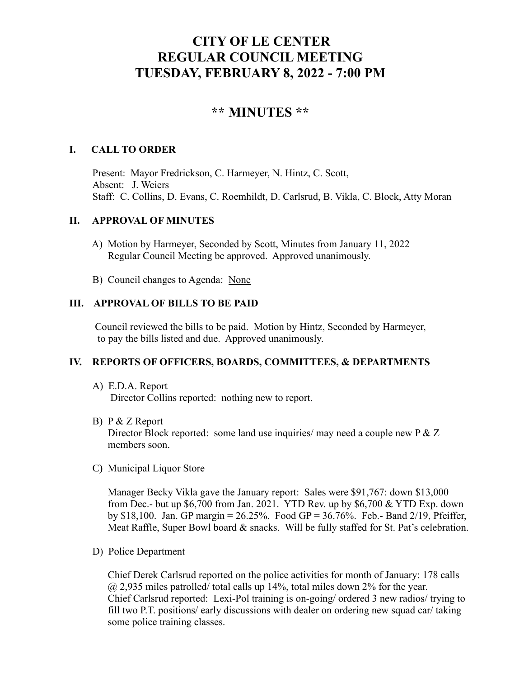# **CITY OF LE CENTER REGULAR COUNCIL MEETING TUESDAY, FEBRUARY 8, 2022 - 7:00 PM**

# **\*\* MINUTES \*\***

## **I. CALL TO ORDER**

Present: Mayor Fredrickson, C. Harmeyer, N. Hintz, C. Scott, Absent: J. Weiers Staff: C. Collins, D. Evans, C. Roemhildt, D. Carlsrud, B. Vikla, C. Block, Atty Moran

### **II. APPROVAL OF MINUTES**

- A) Motion by Harmeyer, Seconded by Scott, Minutes from January 11, 2022 Regular Council Meeting be approved. Approved unanimously.
- B) Council changes to Agenda: None

### **III. APPROVAL OF BILLS TO BE PAID**

Council reviewed the bills to be paid. Motion by Hintz, Seconded by Harmeyer, to pay the bills listed and due. Approved unanimously.

# **IV. REPORTS OF OFFICERS, BOARDS, COMMITTEES, & DEPARTMENTS**

- A) E.D.A. Report Director Collins reported: nothing new to report.
- B) P & Z Report

Director Block reported: some land use inquiries/ may need a couple new P & Z members soon.

C) Municipal Liquor Store

Manager Becky Vikla gave the January report: Sales were \$91,767: down \$13,000 from Dec.- but up \$6,700 from Jan. 2021. YTD Rev. up by \$6,700 & YTD Exp. down by \$18,100. Jan. GP margin = 26.25%. Food GP = 36.76%. Feb.- Band 2/19, Pfeiffer, Meat Raffle, Super Bowl board & snacks. Will be fully staffed for St. Pat's celebration.

D) Police Department

Chief Derek Carlsrud reported on the police activities for month of January: 178 calls  $\omega$  2,935 miles patrolled/ total calls up 14%, total miles down 2% for the year. Chief Carlsrud reported: Lexi-Pol training is on-going/ ordered 3 new radios/ trying to fill two P.T. positions/ early discussions with dealer on ordering new squad car/ taking some police training classes.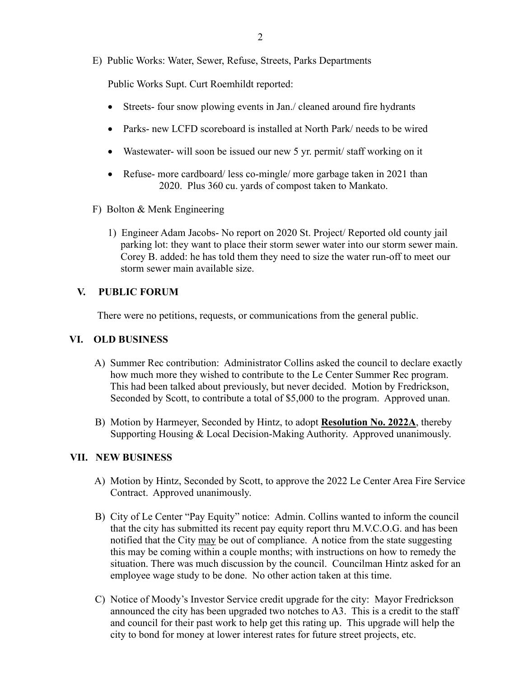E) Public Works: Water, Sewer, Refuse, Streets, Parks Departments

Public Works Supt. Curt Roemhildt reported:

- Streets- four snow plowing events in Jan./ cleaned around fire hydrants
- Parks- new LCFD scoreboard is installed at North Park/ needs to be wired
- Wastewater- will soon be issued our new 5 yr. permit/ staff working on it
- Refuse- more cardboard/ less co-mingle/ more garbage taken in 2021 than 2020. Plus 360 cu. yards of compost taken to Mankato.
- F) Bolton & Menk Engineering
	- 1) Engineer Adam Jacobs- No report on 2020 St. Project/ Reported old county jail parking lot: they want to place their storm sewer water into our storm sewer main. Corey B. added: he has told them they need to size the water run-off to meet our storm sewer main available size.

# **V. PUBLIC FORUM**

There were no petitions, requests, or communications from the general public.

#### **VI. OLD BUSINESS**

- A) Summer Rec contribution: Administrator Collins asked the council to declare exactly how much more they wished to contribute to the Le Center Summer Rec program. This had been talked about previously, but never decided. Motion by Fredrickson, Seconded by Scott, to contribute a total of \$5,000 to the program. Approved unan.
- B) Motion by Harmeyer, Seconded by Hintz, to adopt **Resolution No. 2022A**, thereby Supporting Housing & Local Decision-Making Authority. Approved unanimously.

#### **VII. NEW BUSINESS**

- A) Motion by Hintz, Seconded by Scott, to approve the 2022 Le Center Area Fire Service Contract. Approved unanimously.
- B) City of Le Center "Pay Equity" notice: Admin. Collins wanted to inform the council that the city has submitted its recent pay equity report thru M.V.C.O.G. and has been notified that the City may be out of compliance. A notice from the state suggesting this may be coming within a couple months; with instructions on how to remedy the situation. There was much discussion by the council. Councilman Hintz asked for an employee wage study to be done. No other action taken at this time.
- C) Notice of Moody's Investor Service credit upgrade for the city: Mayor Fredrickson announced the city has been upgraded two notches to A3. This is a credit to the staff and council for their past work to help get this rating up. This upgrade will help the city to bond for money at lower interest rates for future street projects, etc.